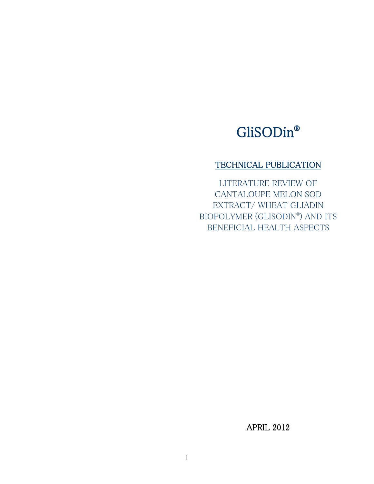# GliSODin®

### TECHNICAL PUBLICATION

LITERATURE REVIEW OF CANTALOUPE MELON SOD EXTRACT/ WHEAT GLIADIN BIOPOLYMER (GLISODIN®) AND ITS BENEFICIAL HEALTH ASPECTS

APRIL 2012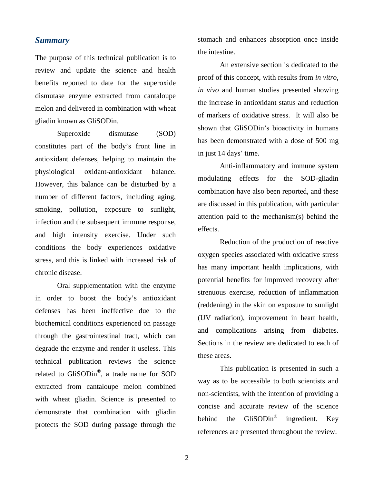#### *Summary*

The purpose of this technical publication is to review and update the science and health benefits reported to date for the superoxide dismutase enzyme extracted from cantaloupe melon and delivered in combination with wheat gliadin known as GliSODin.

Superoxide dismutase (SOD) constitutes part of the body's front line in antioxidant defenses, helping to maintain the physiological oxidant-antioxidant balance. However, this balance can be disturbed by a number of different factors, including aging, smoking, pollution, exposure to sunlight, infection and the subsequent immune response, and high intensity exercise. Under such conditions the body experiences oxidative stress, and this is linked with increased risk of chronic disease.

Oral supplementation with the enzyme in order to boost the body's antioxidant defenses has been ineffective due to the biochemical conditions experienced on passage through the gastrointestinal tract, which can degrade the enzyme and render it useless. This technical publication reviews the science related to GliSODin®, a trade name for SOD extracted from cantaloupe melon combined with wheat gliadin. Science is presented to demonstrate that combination with gliadin protects the SOD during passage through the stomach and enhances absorption once inside the intestine.

An extensive section is dedicated to the proof of this concept, with results from *in vitro, in vivo* and human studies presented showing the increase in antioxidant status and reduction of markers of oxidative stress. It will also be shown that GliSODin's bioactivity in humans has been demonstrated with a dose of 500 mg in just 14 days' time.

Anti-inflammatory and immune system modulating effects for the SOD-gliadin combination have also been reported, and these are discussed in this publication, with particular attention paid to the mechanism(s) behind the effects.

Reduction of the production of reactive oxygen species associated with oxidative stress has many important health implications, with potential benefits for improved recovery after strenuous exercise, reduction of inflammation (reddening) in the skin on exposure to sunlight (UV radiation), improvement in heart health, and complications arising from diabetes. Sections in the review are dedicated to each of these areas.

This publication is presented in such a way as to be accessible to both scientists and non-scientists, with the intention of providing a concise and accurate review of the science behind the GliSODin<sup>®</sup> ingredient. Key references are presented throughout the review.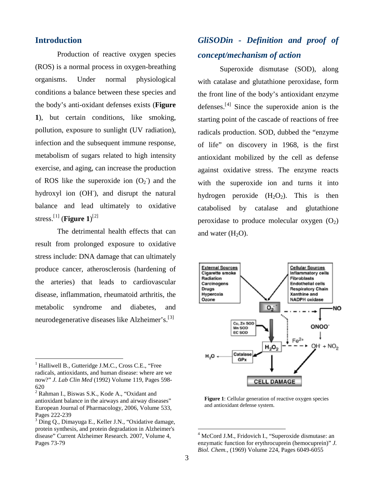#### **Introduction**

Production of reactive oxygen species (ROS) is a normal process in oxygen-breathing organisms. Under normal physiological conditions a balance between these species and the body's anti-oxidant defenses exists (**Figure 1**), but certain conditions, like smoking, pollution, exposure to sunlight (UV radiation), infection and the subsequent immune response, metabolism of sugars related to high intensity exercise, and aging, can increase the production of ROS like the superoxide ion  $(O_2)$  and the hydroxyl ion (OH<sup>-</sup>), and disrupt the natural balance and lead ultimately to oxidative stress. [[1](#page-2-0)] (**Figure 1**) [[2](#page-2-1)]

The detrimental health effects that can result from prolonged exposure to oxidative stress include: DNA damage that can ultimately produce cancer, atherosclerosis (hardening of the arteries) that leads to cardiovascular disease, inflammation, rheumatoid arthritis, the metabolic syndrome and diabetes, and neurodegenerative diseases like Alzheimer's.<sup>[[3](#page-2-2)]</sup>

## *GliSODin - Definition and proof of concept/mechanism of action*

Superoxide dismutase (SOD), along with catalase and glutathione peroxidase, form the front line of the body's antioxidant enzyme defenses.<sup>[[4\]](#page-2-3)</sup> Since the superoxide anion is the starting point of the cascade of reactions of free radicals production. SOD, dubbed the "enzyme of life" on discovery in 1968, is the first antioxidant mobilized by the cell as defense against oxidative stress. The enzyme reacts with the superoxide ion and turns it into hydrogen peroxide  $(H_2O_2)$ . This is then catabolised by catalase and glutathione peroxidase to produce molecular oxygen  $(O_2)$ and water  $(H<sub>2</sub>O)$ .



**Figure 1**: Cellular generation of reactive oxygen species and antioxidant defense system.

<span id="page-2-0"></span><sup>&</sup>lt;sup>1</sup> Halliwell B., Gutteridge J.M.C., Cross C.E., "Free radicals, antioxidants, and human disease: where are we now?" *J. Lab Clin Med* (1992) Volume 119, Pages 598- 620

<span id="page-2-1"></span><sup>2</sup> Rahman I., Biswas S.K., Kode A., "Oxidant and antioxidant balance in the airways and airway diseases" European Journal of Pharmacology, 2006, Volume 533, Pages 222-239<br><sup>3</sup> Ding Q., Dimayuga E., Keller J.N., "Oxidative damage,

<span id="page-2-3"></span><span id="page-2-2"></span>protein synthesis, and protein degradation in Alzheimer's disease" Current Alzheimer Research. 2007, Volume 4, Pages 73-79

<sup>&</sup>lt;sup>4</sup> McCord J.M., Fridovich I., "Superoxide dismutase: an enzymatic function for erythrocuprein (hemocuprein)" *J. Biol. Chem.,* (1969) Volume 224, Pages 6049-6055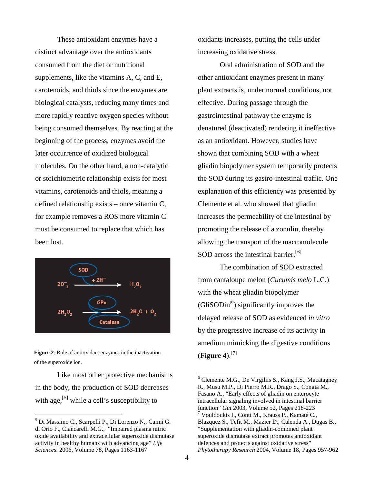These antioxidant enzymes have a distinct advantage over the antioxidants consumed from the diet or nutritional supplements, like the vitamins A, C, and E, carotenoids, and thiols since the enzymes are biological catalysts, reducing many times and more rapidly reactive oxygen species without being consumed themselves. By reacting at the beginning of the process, enzymes avoid the later occurrence of oxidized biological molecules. On the other hand, a non-catalytic or stoichiometric relationship exists for most vitamins, carotenoids and thiols, meaning a defined relationship exists – once vitamin C, for example removes a ROS more vitamin C must be consumed to replace that which has been lost.



**Figure 2**: Role of antioxidant enzymes in the inactivation of the superoxide ion.

<span id="page-3-1"></span>Like most other protective mechanisms in the body, the production of SOD decreases with age,<sup>[[5\]](#page-3-0)</sup> while a cell's susceptibility to

oxidants increases, putting the cells under increasing oxidative stress.

Oral administration of SOD and the other antioxidant enzymes present in many plant extracts is, under normal conditions, not effective. During passage through the gastrointestinal pathway the enzyme is denatured (deactivated) rendering it ineffective as an antioxidant. However, studies have shown that combining SOD with a wheat gliadin biopolymer system temporarily protects the SOD during its gastro-intestinal traffic. One explanation of this efficiency was presented by Clemente et al. who showed that gliadin increases the permeability of the intestinal by promoting the release of a zonulin, thereby allowing the transport of the macromolecule SOD across the intestinal barrier.<sup>[[6\]](#page-3-1)</sup>

The combination of SOD extracted from cantaloupe melon (*Cucumis melo* L.C.) with the wheat gliadin biopolymer (GliSODin®) significantly improves the delayed release of SOD as evidenced *in vitro* by the progressive increase of its activity in amedium mimicking the digestive conditions (**Figure 4**). [[7](#page-3-2)]

<span id="page-3-2"></span><span id="page-3-0"></span> <sup>5</sup> Di Massimo C., Scarpelli P., Di Lorenzo N., Caimi G. di Orio F., Ciancarelli M.G., "Impaired plasma nitric oxide availability and extracellular superoxide dismutase activity in healthy humans with advancing age" *Life Sciences*. 2006, Volume 78, Pages 1163-1167

 <sup>6</sup> Clemente M.G., De Virgiliis S., Kang J.S., Macatagney R., Musu M.P., Di Pierro M.R., Drago S., Congia M., Fasano A., "Early effects of gliadin on enterocyte intracellular signaling involved in intestinal barrier function" *Gut* 2003, Volume 52, Pages 218-223 <sup>7</sup> Vouldoukis I., Conti M., Krauss P., Kamaté C., Blazquez S., Tefit M., Mazier D., Calenda A., Dugas B., "Supplementation with gliadin-combined plant superoxide dismutase extract promotes antioxidant defences and protects against oxidative stress" *Phytotherapy Research* 2004, Volume 18, Pages 957-962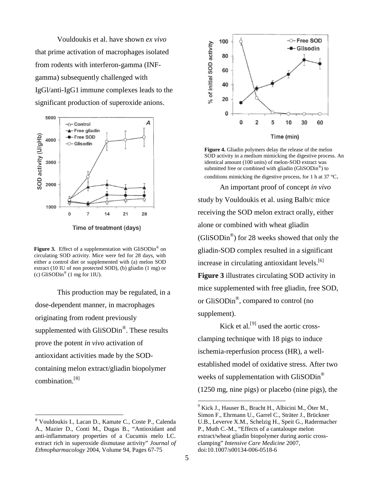Vouldoukis et al. have shown *ex vivo* that prime activation of macrophages isolated from rodents with interferon-gamma (INFgamma) subsequently challenged with IgGl/anti-IgG1 immune complexes leads to the significant production of superoxide anions.



Time of treatment (days)

Figure 3. Effect of a supplementation with GliSODin<sup>®</sup> on circulating SOD activity. Mice were fed for 28 days, with either a control diet or supplemented with (a) melon SOD extract (10 IU of non protected SOD), (b) gliadin (1 mg) or (c) GliSODin® (1 mg for 1IU).

This production may be regulated, in a dose-dependent manner, in macrophages originating from rodent previously supplemented with GliSODin<sup>®</sup>. These results prove the potent *in vivo* activation of antioxidant activities made by the SODcontaining melon extract/gliadin biopolymer combination. [[8\]](#page-4-0)

<span id="page-4-1"></span> $\overline{a}$ 



**Figure 4.** Gliadin polymers delay the release of the melon SOD activity in a medium mimicking the digestive process. An identical amount (100 units) of melon-SOD extract was submitted free or combined with gliadin (GliSODin®) to conditions mimicking the digestive process, for 1 h at 37 °C.

An important proof of concept *in vivo*  study by Vouldoukis et al. using Balb/c mice receiving the SOD melon extract orally, either alone or combined with wheat gliadin (GliSODin®) for 28 weeks showed that only the gliadin-SOD complex resulted in a significant increase in circulating antioxidant levels.<sup>[6]</sup> **Figure 3** illustrates circulating SOD activity in mice supplemented with free gliadin, free SOD,

or GliSODin®, compared to control (no supplement).

Kick et al.<sup>[[9\]](#page-4-1)</sup> used the aortic crossclamping technique with 18 pigs to induce ischemia-reperfusion process (HR), a wellestablished model of oxidative stress. After two weeks of supplementation with GliSODin<sup>®</sup> (1250 mg, nine pigs) or placebo (nine pigs), the

<span id="page-4-0"></span>*<sup>8</sup>* Vouldoukis I., Lacan D., Kamate C., Coste P., Calenda A., Mazier D., Conti M., Dugas B., "Antioxidant and anti-inflammatory properties of a Cucumis melo LC. extract rich in superoxide dismutase activity" *Journal of Ethnopharmacology* 2004, Volume 94, Pages 67-75

 $9$  Kick J., Hauser B., Bracht H., Albicini M., Öter M., Simon F., Ehrmann U., Garrel C., Sträter J., Brückner U.B., Leverve X.M., Schelzig H., Speit G., Radermacher P., Muth C.-M., "Effects of a cantaloupe melon extract/wheat gliadin biopolymer during aortic crossclamping" *Intensive Care Medicine* 2007, doi:10.1007/s00134-006-0518-6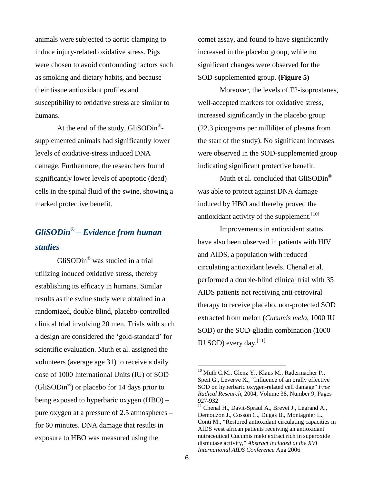animals were subjected to aortic clamping to induce injury-related oxidative stress. Pigs were chosen to avoid confounding factors such as smoking and dietary habits, and because their tissue antioxidant profiles and susceptibility to oxidative stress are similar to humans.

At the end of the study,  $\text{GliSODin}^{\circledR}$ supplemented animals had significantly lower levels of oxidative-stress induced DNA damage. Furthermore, the researchers found significantly lower levels of apoptotic (dead) cells in the spinal fluid of the swine, showing a marked protective benefit.

# *GliSODin® – Evidence from human studies*

<span id="page-5-1"></span><span id="page-5-0"></span>GliSODin® was studied in a trial utilizing induced oxidative stress, thereby establishing its efficacy in humans. Similar results as the swine study were obtained in a randomized, double-blind, placebo-controlled clinical trial involving 20 men. Trials with such a design are considered the 'gold-standard' for scientific evaluation. Muth et al. assigned the volunteers (average age 31) to receive a daily dose of 1000 International Units (IU) of SOD (GliSODin<sup>®</sup>) or placebo for 14 days prior to being exposed to hyperbaric oxygen (HBO) – pure oxygen at a pressure of 2.5 atmospheres – for 60 minutes. DNA damage that results in exposure to HBO was measured using the

comet assay, and found to have significantly increased in the placebo group, while no significant changes were observed for the SOD-supplemented group. **(Figure 5)**

Moreover, the levels of F2-isoprostanes, well-accepted markers for oxidative stress, increased significantly in the placebo group (22.3 picograms per milliliter of plasma from the start of the study). No significant increases were observed in the SOD-supplemented group indicating significant protective benefit.

Muth et al. concluded that GliSODin® was able to protect against DNA damage induced by HBO and thereby proved the antioxidant activity of the supplement.<sup>[[10](#page-5-0)]</sup>

Improvements in antioxidant status have also been observed in patients with HIV and AIDS, a population with reduced circulating antioxidant levels. Chenal et al. performed a double-blind clinical trial with 35 AIDS patients not receiving anti-retroviral therapy to receive placebo, non-protected SOD extracted from melon (*Cucumis melo*, 1000 IU SOD) or the SOD-gliadin combination (1000 IU SOD) every day.<sup>[[11](#page-5-1)]</sup>

<sup>&</sup>lt;sup>10</sup> Muth C.M., Glenz Y., Klaus M., Radermacher P., Speit G., Leverve X., "Influence of an orally effective SOD on hyperbaric oxygen-related cell damage" *Free Radical Research*, 2004, Volume 38, Number 9, Pages

<sup>&</sup>lt;sup>11</sup> Chenal H., Davit-Spraul A., Brevet J., Legrand A., Demouzon J., Cosson C., Dugas B., Montagnier L., Conti M., "Restored antioxidant circulating capacities in AIDS west african patients receiving an antioxidant nutraceutical Cucumis melo extract rich in superoxide dismutase activity," *Abstract included at the XVI International AIDS Conference* Aug 2006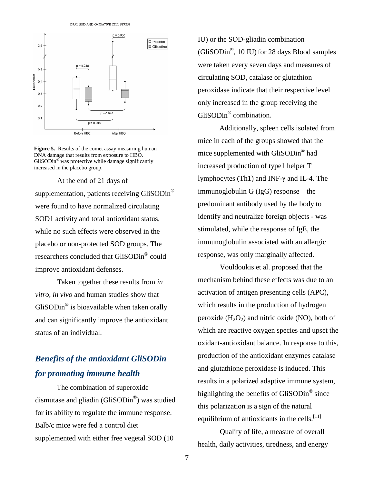ORAL SOD AND OXIDATIVE CELL STRESS



**Figure 5.** Results of the comet assay measuring human DNA damage that results from exposure to HBO. GliSODin<sup>®</sup> was protective while damage significantly increased in the placebo group.

At the end of 21 days of

supplementation, patients receiving GliSODin<sup>®</sup> were found to have normalized circulating SOD1 activity and total antioxidant status, while no such effects were observed in the placebo or non-protected SOD groups. The researchers concluded that GliSODin® could improve antioxidant defenses.

Taken together these results from *in vitro, in vivo* and human studies show that GliSODin® is bioavailable when taken orally and can significantly improve the antioxidant status of an individual.

### *Benefits of the antioxidant GliSODin for promoting immune health*

The combination of superoxide dismutase and gliadin (GliSODin®) was studied for its ability to regulate the immune response. Balb/c mice were fed a control diet supplemented with either free vegetal SOD (10

IU) or the SOD-gliadin combination (GliSODin®, 10 IU) for 28 days Blood samples were taken every seven days and measures of circulating SOD, catalase or glutathion peroxidase indicate that their respective level only increased in the group receiving the GliSODin® combination.

Additionally, spleen cells isolated from mice in each of the groups showed that the mice supplemented with GliSODin® had increased production of type1 helper T lymphocytes (Th1) and INF-γ and IL-4. The immunoglobulin G (IgG) response – the predominant antibody used by the body to identify and neutralize foreign objects - was stimulated, while the response of IgE, the immunoglobulin associated with an allergic response, was only marginally affected.

Vouldoukis et al. proposed that the mechanism behind these effects was due to an activation of antigen presenting cells (APC), which results in the production of hydrogen peroxide  $(H_2O_2)$  and nitric oxide (NO), both of which are reactive oxygen species and upset the oxidant-antioxidant balance. In response to this, production of the antioxidant enzymes catalase and glutathione peroxidase is induced. This results in a polarized adaptive immune system, highlighting the benefits of  $\text{GiSODin}^{\circledR}$  since this polarization is a sign of the natural equilibrium of antioxidants in the cells.<sup>[11]</sup>

Quality of life, a measure of overall health, daily activities, tiredness, and energy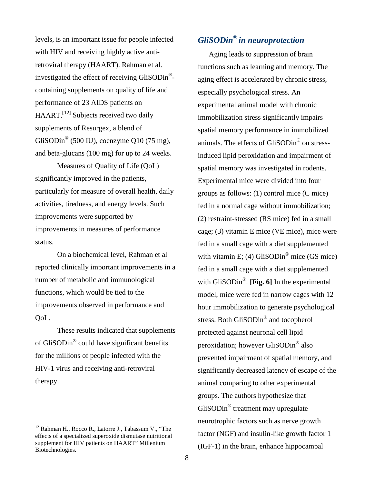levels, is an important issue for people infected with HIV and receiving highly active antiretroviral therapy (HAART). Rahman et al. investigated the effect of receiving GliSODin® containing supplements on quality of life and performance of 23 AIDS patients on  $HAART$ <sup>[[12](#page-7-0)]</sup> Subjects received two daily supplements of Resurgex, a blend of GliSODin<sup>®</sup> (500 IU), coenzyme Q10 (75 mg), and beta-glucans (100 mg) for up to 24 weeks.

Measures of Quality of Life (QoL) significantly improved in the patients, particularly for measure of overall health, daily activities, tiredness, and energy levels. Such improvements were supported by improvements in measures of performance status.

On a biochemical level, Rahman et al reported clinically important improvements in a number of metabolic and immunological functions, which would be tied to the improvements observed in performance and QoL.

These results indicated that supplements of GliSODin® could have significant benefits for the millions of people infected with the HIV-1 virus and receiving anti-retroviral therapy.

### *GliSODin® in neuroprotection*

 Aging leads to suppression of brain functions such as learning and memory. The aging effect is accelerated by chronic stress, especially psychological stress. An experimental animal model with chronic immobilization stress significantly impairs spatial memory performance in immobilized animals. The effects of GliSODin® on stressinduced lipid peroxidation and impairment of spatial memory was investigated in rodents. Experimental mice were divided into four groups as follows: (1) control mice (C mice) fed in a normal cage without immobilization; (2) restraint-stressed (RS mice) fed in a small cage; (3) vitamin E mice (VE mice), mice were fed in a small cage with a diet supplemented with vitamin E; (4)  $\text{GliSODin}^{\circledR}$  mice (GS mice) fed in a small cage with a diet supplemented with GliSODin®. **[Fig. 6]** In the experimental model, mice were fed in narrow cages with 12 hour immobilization to generate psychological stress. Both GliSODin® and tocopherol protected against neuronal cell lipid peroxidation; however GliSODin® also prevented impairment of spatial memory, and significantly decreased latency of escape of the animal comparing to other experimental groups. The authors hypothesize that GliSODin® treatment may upregulate neurotrophic factors such as nerve growth factor (NGF) and insulin-like growth factor 1 (IGF-1) in the brain, enhance hippocampal

<span id="page-7-0"></span><sup>&</sup>lt;sup>12</sup> Rahman H., Rocco R., Latorre J., Tabassum V., "The effects of a specialized superoxide dismutase nutritional supplement for HIV patients on HAART" Millenium Biotechnologies.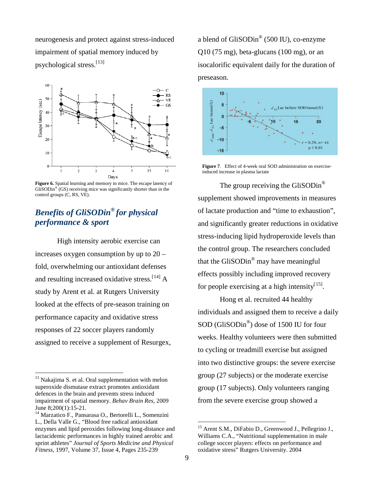neurogenesis and protect against stress-induced impairment of spatial memory induced by psychological stress. [[13](#page-8-0)]



**Figure 6.** Spatial learning and memory in mice. The escape latency of  $GliSODin<sup>®</sup>(GS)$  receiving mice was significantly shorter than in the control groups (C, RS, VE).

### *Benefits of GliSODin® for physical performance & sport*

High intensity aerobic exercise can increases oxygen consumption by up to 20 – fold, overwhelming our antioxidant defenses and resulting increased oxidative stress. [[14\]](#page-8-1) A study by Arent et al. at Rutgers University looked at the effects of pre-season training on performance capacity and oxidative stress responses of 22 soccer players randomly assigned to receive a supplement of Resurgex, a blend of GliSODin® (500 IU), co-enzyme Q10 (75 mg), beta-glucans (100 mg), or an isocalorific equivalent daily for the duration of preseason.



**Figure 7**. Effect of 4-week oral SOD administration on exerciseinduced increase in plasma lactate

The group receiving the GliSODin<sup>®</sup> supplement showed improvements in measures of lactate production and "time to exhaustion", and significantly greater reductions in oxidative stress-inducing lipid hydroperoxide levels than the control group. The researchers concluded that the GliSODin® may have meaningful effects possibly including improved recovery for people exercising at a high intensity  $[15]$  $[15]$  $[15]$ .

Hong et al. recruited 44 healthy individuals and assigned them to receive a daily SOD (GliSODin®) dose of 1500 IU for four weeks. Healthy volunteers were then submitted to cycling or treadmill exercise but assigned into two distinctive groups: the severe exercise group (27 subjects) or the moderate exercise group (17 subjects). Only volunteers ranging from the severe exercise group showed a

<span id="page-8-0"></span><sup>&</sup>lt;sup>13</sup> Nakajima S. et al. Oral supplementation with melon superoxide dismutase extract promotes antioxidant defences in the brain and prevents stress induced impairment of spatial memory. *Behav Brain Res,* 2009 June 8;200(1):15-21.<br><sup>14</sup> Marzatico F., Pansarasa O., Bertorelli L., Somenzini

<span id="page-8-2"></span><span id="page-8-1"></span>L., Della Valle G., "Blood free radical antioxidant enzymes and lipid peroxides following long-distance and lactacidemic performances in highly trained aerobic and sprint athletes" *Journal of Sports Medicine and Physical Fitness,* 1997, Volume 37, Issue 4, Pages 235-239

<sup>&</sup>lt;sup>15</sup> Arent S.M., DiFabio D., Greenwood J., Pellegrino J., Williams C.A., "Nutritional supplementation in male college soccer players: effects on performance and oxidative stress" Rutgers University. 2004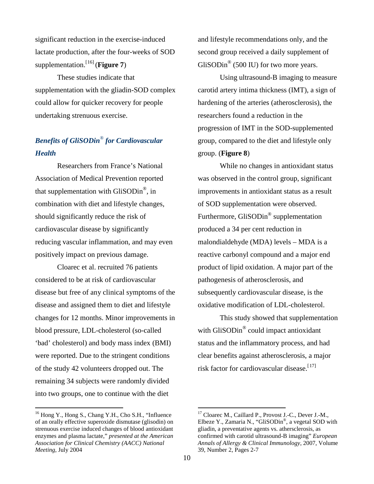significant reduction in the exercise-induced lactate production, after the four-weeks of SOD supplementation. [[16](#page-9-0)] (**Figure 7**)

These studies indicate that supplementation with the gliadin-SOD complex could allow for quicker recovery for people undertaking strenuous exercise.

### *Benefits of GliSODin*® *for Cardiovascular Health*

Researchers from France's National Association of Medical Prevention reported that supplementation with GliSODin®, in combination with diet and lifestyle changes, should significantly reduce the risk of cardiovascular disease by significantly reducing vascular inflammation, and may even positively impact on previous damage.

Cloarec et al. recruited 76 patients considered to be at risk of cardiovascular disease but free of any clinical symptoms of the disease and assigned them to diet and lifestyle changes for 12 months. Minor improvements in blood pressure, LDL-cholesterol (so-called 'bad' cholesterol) and body mass index (BMI) were reported. Due to the stringent conditions of the study 42 volunteers dropped out. The remaining 34 subjects were randomly divided into two groups, one to continue with the diet

and lifestyle recommendations only, and the second group received a daily supplement of GliSODin<sup>®</sup> (500 IU) for two more years.

Using ultrasound-B imaging to measure carotid artery intima thickness (IMT), a sign of hardening of the arteries (atherosclerosis), the researchers found a reduction in the progression of IMT in the SOD-supplemented group, compared to the diet and lifestyle only group. (**Figure 8**)

While no changes in antioxidant status was observed in the control group, significant improvements in antioxidant status as a result of SOD supplementation were observed. Furthermore, GliSODin® supplementation produced a 34 per cent reduction in malondialdehyde (MDA) levels – MDA is a reactive carbonyl compound and a major end product of lipid oxidation. A major part of the pathogenesis of atherosclerosis, and subsequently cardiovascular disease, is the oxidative modification of LDL-cholesterol.

This study showed that supplementation with GliSODin<sup>®</sup> could impact antioxidant status and the inflammatory process, and had clear benefits against atherosclerosis, a major risk factor for cardiovascular disease. [[17\]](#page-9-0)

<span id="page-9-0"></span><sup>&</sup>lt;sup>16</sup> Hong Y., Hong S., Chang Y.H., Cho S.H., "Influence of an orally effective superoxide dismutase (glisodin) on strenuous exercise induced changes of blood antioxidant enzymes and plasma lactate," *presented at the American Association for Clinical Chemistry (AACC) National Meeting*, July 2004

<sup>&</sup>lt;sup>17</sup> Cloarec M., Caillard P., Provost J.-C., Dever J.-M., Elbeze Y., Zamaria N., "GliSODin®, a vegetal SOD with gliadin, a preventative agents vs. athersclerosis, as confirmed with carotid ultrasound-B imaging" *European Annals of Allergy & Clinical Immunology*, 2007, Volume 39, Number 2, Pages 2-7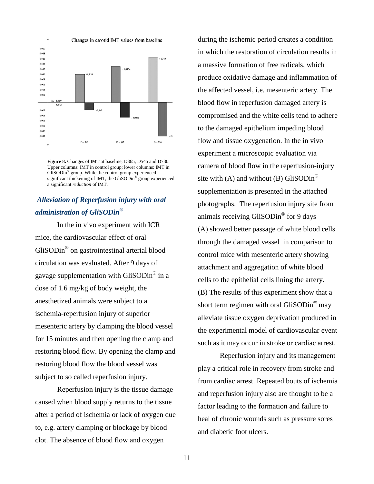

**Figure 8.** Changes of IMT at baseline, D365, D545 and D730. Upper columns: IMT in control group; lower columns: IMT in GliSODin® group. While the control group experienced significant thickening of IMT, the GliSODin® group experienced a significant *reduction* of IMT.

### *Alleviation of Reperfusion injury with oral administration of GliSODin®*

In the in vivo experiment with ICR mice, the cardiovascular effect of oral GliSODin® on gastrointestinal arterial blood circulation was evaluated. After 9 days of gavage supplementation with GliSODin® in a dose of 1.6 mg/kg of body weight, the anesthetized animals were subject to a ischemia-reperfusion injury of superior mesenteric artery by clamping the blood vessel for 15 minutes and then opening the clamp and restoring blood flow. By opening the clamp and restoring blood flow the blood vessel was subject to so called reperfusion injury.

Reperfusion injury is the tissue damage caused when blood supply returns to the tissue after a period of ischemia or lack of oxygen due to, e.g. artery clamping or blockage by blood clot. The absence of blood flow and oxygen

during the ischemic period creates a condition in which the restoration of circulation results in a massive formation of free radicals, which produce oxidative damage and inflammation of the affected vessel, i.e. mesenteric artery. The blood flow in reperfusion damaged artery is compromised and the white cells tend to adhere to the damaged epithelium impeding blood flow and tissue oxygenation. In the in vivo experiment a microscopic evaluation via camera of blood flow in the reperfusion-injury site with (A) and without (B)  $\text{GliSODin}^{\circledR}$ supplementation is presented in the attached photographs. The reperfusion injury site from animals receiving GliSODin® for 9 days (A) showed better passage of white blood cells through the damaged vessel in comparison to control mice with mesenteric artery showing attachment and aggregation of white blood cells to the epithelial cells lining the artery. (B) The results of this experiment show that a short term regimen with oral GliSODin<sup>®</sup> may alleviate tissue oxygen deprivation produced in the experimental model of cardiovascular event such as it may occur in stroke or cardiac arrest.

Reperfusion injury and its management play a critical role in recovery from stroke and from cardiac arrest. Repeated bouts of ischemia and reperfusion injury also are thought to be a factor leading to the formation and failure to heal of chronic wounds such as pressure sores and diabetic foot ulcers.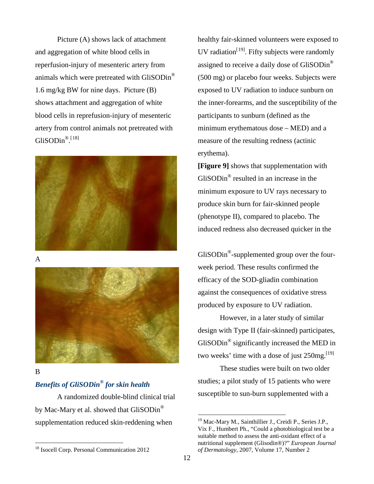Picture (A) shows lack of attachment and aggregation of white blood cells in reperfusion-injury of mesenteric artery from animals which were pretreated with GliSODin<sup>®</sup> 1.6 mg/kg BW for nine days. Picture (B) shows attachment and aggregation of white blood cells in reprefusion-injury of mesenteric artery from control animals not pretreated with GliSODin®.<sup>[[18\]](#page-11-0)</sup>



A



B

#### *Benefits of GliSODin® for skin health*

<span id="page-11-1"></span>A randomized double-blind clinical trial by Mac-Mary et al. showed that GliSODin<sup>®</sup> supplementation reduced skin-reddening when

healthy fair-skinned volunteers were exposed to UV radiation<sup>[[19](#page-11-1)]</sup>. Fifty subjects were randomly assigned to receive a daily dose of GliSODin<sup>®</sup> (500 mg) or placebo four weeks. Subjects were exposed to UV radiation to induce sunburn on the inner-forearms, and the susceptibility of the participants to sunburn (defined as the minimum erythematous dose – MED) and a measure of the resulting redness (actinic erythema).

**[Figure 9]** shows that supplementation with GliSODin® resulted in an increase in the minimum exposure to UV rays necessary to produce skin burn for fair-skinned people (phenotype II), compared to placebo. The induced redness also decreased quicker in the

GliSODin<sup>®</sup>-supplemented group over the fourweek period. These results confirmed the efficacy of the SOD-gliadin combination against the consequences of oxidative stress produced by exposure to UV radiation.

However, in a later study of similar design with Type II (fair-skinned) participates, GliSODin® significantly increased the MED in two weeks' time with a dose of just 250mg.<sup>[19]</sup>

These studies were built on two older studies; a pilot study of 15 patients who were susceptible to sun-burn supplemented with a

 <sup>19</sup> Mac-Mary M., Sainthillier J., Creidi P., Series J.P., Vix F., Humbert Ph., "Could a photobiological test be a suitable method to assess the anti-oxidant effect of a nutritional supplement (Glisodin®)?" *European Journal of Dermatology*, 2007, Volume 17, Number 2

<span id="page-11-0"></span><sup>&</sup>lt;sup>18</sup> Isocell Corp. Personal Communication 2012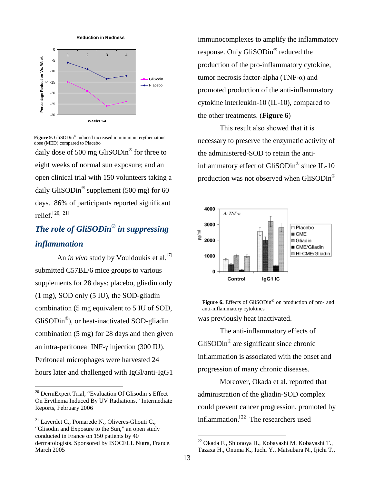**Reduction in Redness**



**Figure 9.** GliSODin® induced increased in minimum erythematous dose (MED) compared to Placebo

daily dose of 500 mg GliSODin® for three to eight weeks of normal sun exposure; and an open clinical trial with 150 volunteers taking a daily GliSODin<sup>®</sup> supplement (500 mg) for 60 days. 86% of participants reported significant relief.<sup>[[20](#page-12-0), [21\]](#page-12-1)</sup>

# *The role of GliSODin® in suppressing inflammation*

An *in vivo* study by Vouldoukis et al.<sup>[7]</sup> submitted C57BL/6 mice groups to various supplements for 28 days: placebo, gliadin only (1 mg), SOD only (5 IU), the SOD-gliadin combination (5 mg equivalent to 5 IU of SOD, GliSODin®), or heat-inactivated SOD-gliadin combination (5 mg) for 28 days and then given an intra-peritoneal INF-γ injection (300 IU). Peritoneal microphages were harvested 24 hours later and challenged with IgGl/anti-IgG1

immunocomplexes to amplify the inflammatory response. Only GliSODin® reduced the production of the pro-inflammatory cytokine, tumor necrosis factor-alpha (TNF- $α$ ) and promoted production of the anti-inflammatory cytokine interleukin-10 (IL-10), compared to the other treatments. (**Figure 6**)

This result also showed that it is necessary to preserve the enzymatic activity of the administered-SOD to retain the antiinflammatory effect of GliSODin® since IL-10 production was not observed when GliSODin<sup>®</sup>



Figure 6. Effects of GliSODin<sup>®</sup> on production of pro- and anti-inflammatory cytokines

was previously heat inactivated.

The anti-inflammatory effects of GliSODin® are significant since chronic inflammation is associated with the onset and progression of many chronic diseases.

Moreover, Okada et al. reported that administration of the gliadin-SOD complex could prevent cancer progression, promoted by inflammation.<sup>[[22\]](#page-12-2)</sup> The researchers used

<span id="page-12-0"></span> <sup>20</sup> DermExpert Trial, "Evaluation Of Glisodin's Effect On Erythema Induced By UV Radiations," Intermediate Reports, February 2006

<span id="page-12-2"></span><span id="page-12-1"></span><sup>21</sup> Laverdet C., Pomarede N., Oliveres-Ghouti C., "Glisodin and Exposure to the Sun," an open study conducted in France on 150 patients by 40 dermatologists. Sponsored by ISOCELL Nutra, France. March 2005

 <sup>22</sup> Okada F., Shionoya H., Kobayashi M. Kobayashi T., Tazaxa H., Onuma K., Iuchi Y., Matsubara N., Ijichi T.,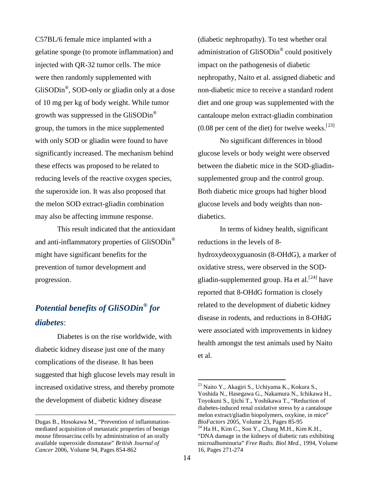C57BL/6 female mice implanted with a gelatine sponge (to promote inflammation) and injected with QR-32 tumor cells. The mice were then randomly supplemented with GliSODin®, SOD-only or gliadin only at a dose of 10 mg per kg of body weight. While tumor growth was suppressed in the GliSODin<sup>®</sup> group, the tumors in the mice supplemented with only SOD or gliadin were found to have significantly increased. The mechanism behind these effects was proposed to be related to reducing levels of the reactive oxygen species, the superoxide ion. It was also proposed that the melon SOD extract-gliadin combination may also be affecting immune response.

This result indicated that the antioxidant and anti-inflammatory properties of GliSODin® might have significant benefits for the prevention of tumor development and progression.

# *Potential benefits of GliSODin® for diabetes*:

Diabetes is on the rise worldwide, with diabetic kidney disease just one of the many complications of the disease. It has been suggested that high glucose levels may result in increased oxidative stress, and thereby promote the development of diabetic kidney disease

(diabetic nephropathy). To test whether oral administration of GliSODin® could positively impact on the pathogenesis of diabetic nephropathy, Naito et al. assigned diabetic and non-diabetic mice to receive a standard rodent diet and one group was supplemented with the cantaloupe melon extract-gliadin combination  $(0.08$  per cent of the diet) for twelve weeks.<sup>[[23](#page-13-0)]</sup>

No significant differences in blood glucose levels or body weight were observed between the diabetic mice in the SOD-gliadinsupplemented group and the control group. Both diabetic mice groups had higher blood glucose levels and body weights than nondiabetics.

In terms of kidney health, significant reductions in the levels of 8 hydroxydeoxyguanosin (8-OHdG), a marker of oxidative stress, were observed in the SOD-gliadin-supplemented group. Ha et al.<sup>[[24\]](#page-13-1)</sup> have reported that 8-OHdG formation is closely related to the development of diabetic kidney disease in rodents, and reductions in 8-OHdG were associated with improvements in kidney health amongst the test animals used by Naito et al.

<span id="page-13-1"></span><span id="page-13-0"></span>Dugas B., Hosokawa M., "Prevention of inflammationmediated acquisition of metastatic properties of benign mouse fibrosarcina cells by administration of an orally available superoxide dismutase" *British Journal of Cancer* 2006, Volume 94, Pages 854-862

<sup>&</sup>lt;sup>23</sup> Naito Y., Akagiri S., Uchiyama K., Kokura S.,

Yoshida N., Hasegawa G., Nakamura N., Ichikawa H., Toyokuni S., Ijichi T., Yoshikawa T., "Reduction of diabetes-induced renal oxidative stress by a cantaloupe melon extract/gliadin biopolymers, oxykine, in mice"<br>BioFactors 2005, Volume 23, Pages 85-95

<sup>&</sup>lt;sup>24</sup> Ha H., Kim C., Son Y., Chung M.H., Kim K.H., "DNA damage in the kidneys of diabetic rats exhibiting microalbuminuria" *Free Radis. Biol Med.,* 1994, Volume 16, Pages 271-274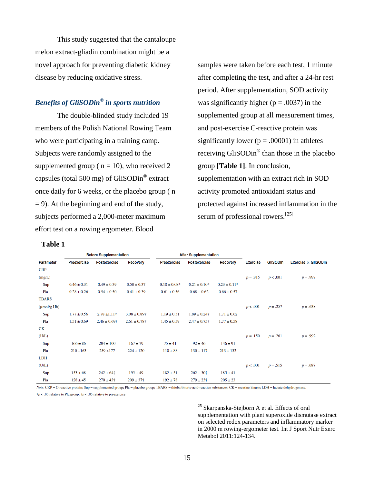This study suggested that the cantaloupe melon extract-gliadin combination might be a novel approach for preventing diabetic kidney disease by reducing oxidative stress.

#### *Benefits of GliSODin*® *in sports nutrition*

The double-blinded study included 19 members of the Polish National Rowing Team who were participating in a training camp. Subjects were randomly assigned to the supplemented group ( $n = 10$ ), who received 2 capsules (total 500 mg) of GliSODin® extract once daily for 6 weeks, or the placebo group ( n  $= 9$ ). At the beginning and end of the study, subjects performed a 2,000-meter maximum effort test on a rowing ergometer. Blood

#### **Table 1**

samples were taken before each test, 1 minute after completing the test, and after a 24-hr rest period. After supplementation, SOD activity was significantly higher ( $p = .0037$ ) in the supplemented group at all measurement times, and post-exercise C-reactive protein was significantly lower ( $p = .00001$ ) in athletes receiving GliSODin® than those in the placebo group **[Table 1]**. In conclusion, supplementation with an extract rich in SOD activity promoted antioxidant status and protected against increased inflammation in the serum of professional rowers.<sup>[[25\]](#page-14-0)</sup>

|                         | <b>Before Supplementation</b> |                              |                              | <b>After Supplementation</b> |                                              |                  |                 |                 |                            |
|-------------------------|-------------------------------|------------------------------|------------------------------|------------------------------|----------------------------------------------|------------------|-----------------|-----------------|----------------------------|
| <b>Parameter</b>        | Preexercise                   | <b>Postexercise</b>          | Recovery                     | <b>Preexercise</b>           | <b>Postexercise</b>                          | <b>Recovery</b>  | <b>Exercise</b> | <b>GliSODin</b> | Exercise $\times$ GliSODin |
| <b>CRP</b>              |                               |                              |                              |                              |                                              |                  |                 |                 |                            |
| (mg/L)                  |                               |                              |                              |                              |                                              |                  | $p = .915$      | p < .001        | $p = .997$                 |
| Sup                     | $0.46 \pm 0.31$               | $0.49 \pm 0.39$              | $0.50 \pm 0.37$              | $0.18 \pm 0.08*$             | $0.21 \pm 0.10^*$                            | $0.23 \pm 0.11*$ |                 |                 |                            |
| Pla                     | $0.28 \pm 0.26$               | $0.54 \pm 0.50$              | $0.41 \pm 0.39$              | $0.61 \pm 0.56$              | $0.68 \pm 0.62$                              | $0.66 \pm 0.57$  |                 |                 |                            |
| <b>TBARS</b>            |                               |                              |                              |                              |                                              |                  |                 |                 |                            |
| $(\mu \text{mol/g Hb})$ |                               |                              |                              |                              |                                              |                  | p < .001        | $p = .257$      | $p = .638$                 |
| Sup                     | $1.77 \pm 0.56$               | $2.78 \pm 1.11$ †            | $3.08 \pm 0.89$ <sup>+</sup> | $1.19 \pm 0.31$              | $1.89 \pm 0.24$ †                            | $1.71 \pm 0.62$  |                 |                 |                            |
| Pla                     | $1.51 \pm 0.69$               | $2.46 \pm 0.69$ <sup>+</sup> | $2.61 \pm 0.78$ <sup>+</sup> | $1.45 \pm 0.59$              | $2.47 \pm 0.75$ <sup>+</sup>                 | $1.77 \pm 0.58$  |                 |                 |                            |
| СK                      |                               |                              |                              |                              |                                              |                  |                 |                 |                            |
| (U/L)                   |                               |                              |                              |                              |                                              |                  | $p = .150$      | $p = .261$      | $p = .992$                 |
| Sup                     | $166 \pm 86$                  | $204 \pm 100$                | $167 \pm 79$                 | $75 \pm 41$                  | $92 \pm 46$                                  | $146 \pm 91$     |                 |                 |                            |
| Pla                     | $210 \pm 163$                 | $259 + 177$                  | $224 \pm 120$                | $110 \pm 88$                 | $130 \pm 117$                                | $213 \pm 132$    |                 |                 |                            |
| LDH                     |                               |                              |                              |                              |                                              |                  |                 |                 |                            |
| (U/L)                   |                               |                              |                              |                              |                                              |                  | p < .001        | $p = .515$      | $p = .687$                 |
| Sup                     | $153 \pm 68$                  | $242 \pm 64$ †               | $195 \pm 49$                 | $182 \pm 51$                 | $262 \pm 50^{+}$                             | $185 \pm 41$     |                 |                 |                            |
| Pla                     | $128 \pm 45$                  | $270 \pm 43$ <sup>+</sup>    | $209 \pm 37$ <sup>+</sup>    | $192 \pm 78$                 | $279 \pm 23$ <sup><math>\dagger</math></sup> | $205 \pm 23$     |                 |                 |                            |

 $Note.$  CRP = C-reactive protein; Sup = supplemented group; Pla = placebo group; TBARS = thiobarbituric-acid-reactive substances; CK = creatine kinase; LDH = lactate dehydrogenase.

<span id="page-14-0"></span>\*p < .05 relative to Pla group.  $\uparrow p$  < .05 relative to preexercise.

<sup>&</sup>lt;sup>25</sup> Skarpanska-Stejborn A et al. Effects of oral supplementation with plant superoxide dismutase extract on selected redox parameters and inflammatory marker in 2000 m rowing-ergometer test. Int J Sport Nutr Exerc Metabol 2011:124-134.